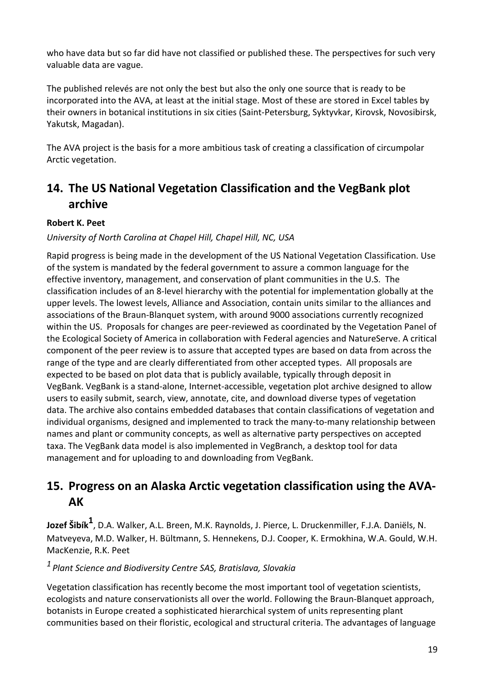## **15. Progress on an Alaska Arctic vegetation classification using the AVA-AK**

**Jozef Šibík<sup>1</sup>** , D.A. Walker, A.L. Breen, M.K. Raynolds, J. Pierce, L. Druckenmiller, F.J.A. Daniëls, N. Matveyeva, M.D. Walker, H. Bültmann, S. Hennekens, D.J. Cooper, K. Ermokhina, W.A. Gould, W.H. MacKenzie, R.K. Peet

*<sup>1</sup> Plant Science and Biodiversity Centre SAS, Bratislava, Slovakia*

Vegetation classification has recently become the most important tool of vegetation scientists, ecologists and nature conservationists all over the world. Following the Braun-Blanquet approach, botanists in Europe created a sophisticated hierarchical system of units representing plant communities based on their floristic, ecological and structural criteria. The advantages of language